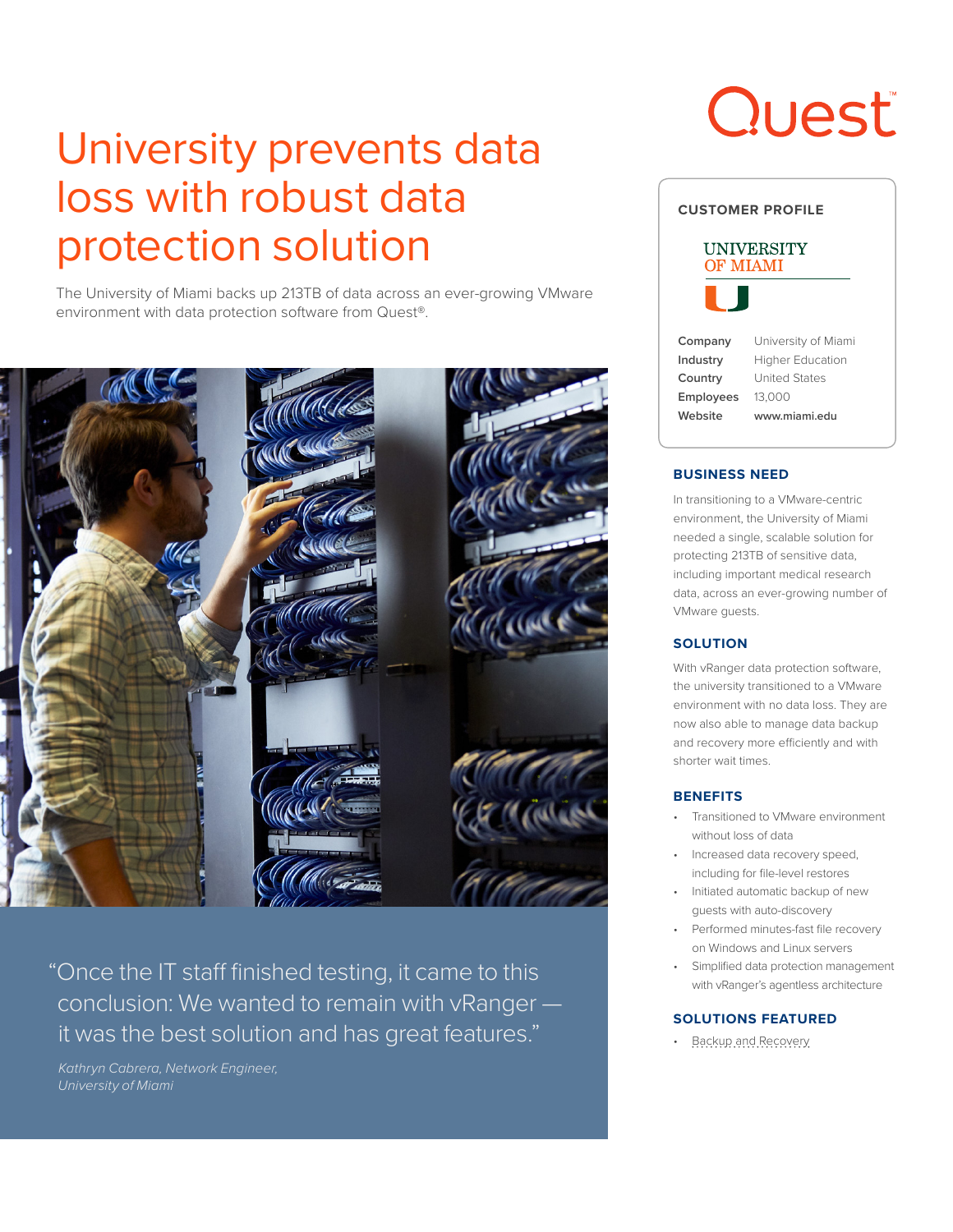## University prevents data loss with robust data protection solution

The University of Miami backs up 213TB of data across an ever-growing VMware environment with data protection software from Quest®.



"Once the IT staff finished testing, it came to this conclusion: We wanted to remain with vRanger it was the best solution and has great features."

*Kathryn Cabrera, Network Engineer, University of Miami*

# **Quest**

| <b>CUSTOMER PROFILE</b>       |                         |
|-------------------------------|-------------------------|
| UNIVERSITY<br><b>OF MIAMI</b> |                         |
|                               |                         |
| Company                       | University of Miami     |
| Industry                      | <b>Higher Education</b> |
| Country                       | <b>United States</b>    |
| <b>Employees</b>              | 13,000                  |
| Website                       | www.miami.edu           |
|                               |                         |

### **BUSINESS NEED**

In transitioning to a VMware-centric environment, the University of Miami needed a single, scalable solution for protecting 213TB of sensitive data, including important medical research data, across an ever-growing number of VMware guests.

#### **SOLUTION**

With vRanger data protection software, the university transitioned to a VMware environment with no data loss. They are now also able to manage data backup and recovery more efficiently and with shorter wait times.

#### **BENEFITS**

- Transitioned to VMware environment without loss of data
- Increased data recovery speed, including for file-level restores
- Initiated automatic backup of new guests with auto-discovery
- Performed minutes-fast file recovery on Windows and Linux servers
- Simplified data protection management with vRanger's agentless architecture

### **SOLUTIONS FEATURED**

• [Backup and Recovery](https://www.quest.com/solutions/backup-and-recovery/)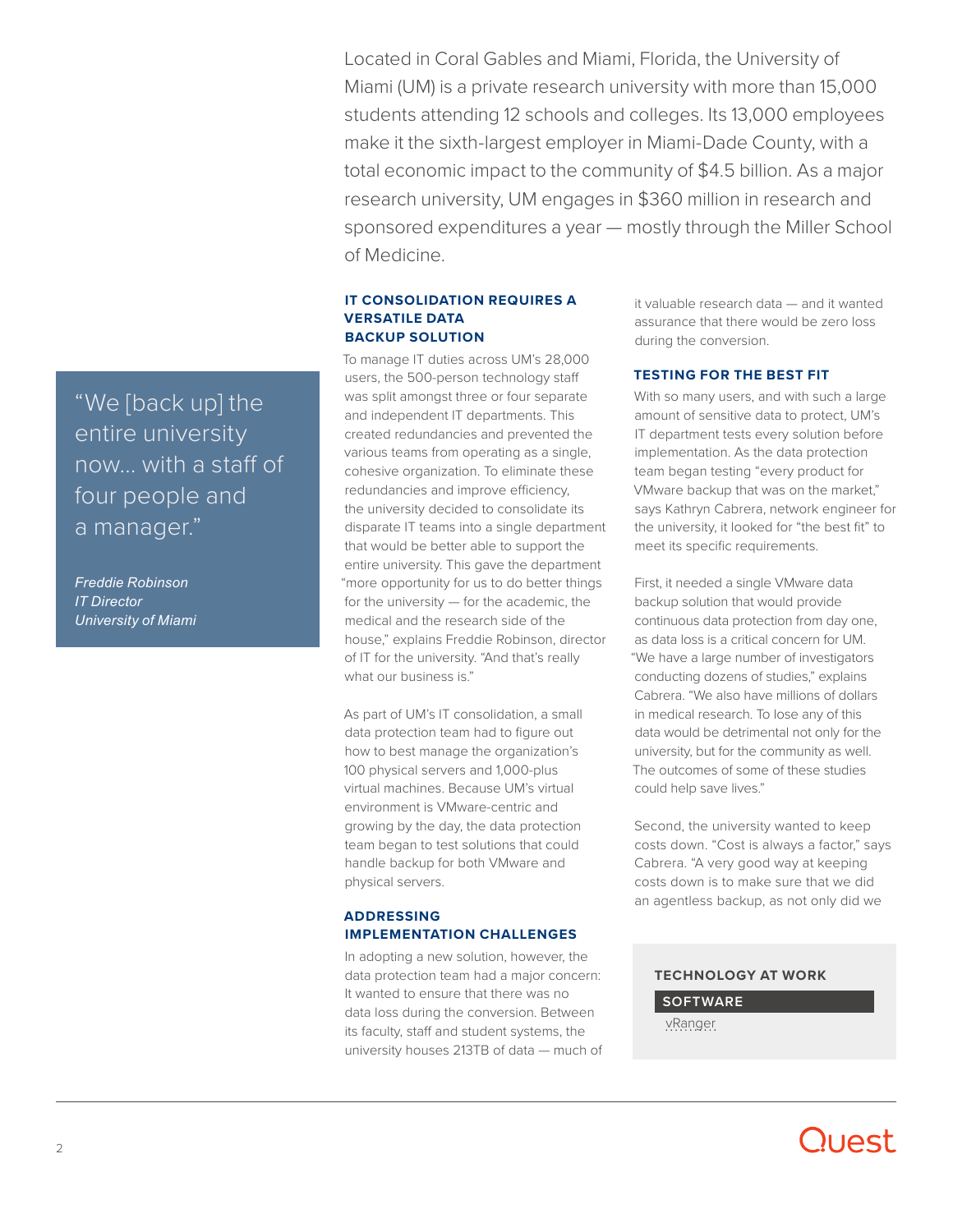Located in Coral Gables and Miami, Florida, the University of Miami (UM) is a private research university with more than 15,000 students attending 12 schools and colleges. Its 13,000 employees make it the sixth-largest employer in Miami-Dade County, with a total economic impact to the community of \$4.5 billion. As a major research university, UM engages in \$360 million in research and sponsored expenditures a year — mostly through the Miller School of Medicine.

### **IT CONSOLIDATION REQUIRES A VERSATILE DATA BACKUP SOLUTION**

To manage IT duties across UM's 28,000 users, the 500-person technology staff was split amongst three or four separate and independent IT departments. This created redundancies and prevented the various teams from operating as a single, cohesive organization. To eliminate these redundancies and improve efficiency, the university decided to consolidate its disparate IT teams into a single department that would be better able to support the entire university. This gave the department "more opportunity for us to do better things for the university — for the academic, the medical and the research side of the house," explains Freddie Robinson, director of IT for the university. "And that's really what our business is."

As part of UM's IT consolidation, a small data protection team had to figure out how to best manage the organization's 100 physical servers and 1,000-plus virtual machines. Because UM's virtual environment is VMware-centric and growing by the day, the data protection team began to test solutions that could handle backup for both VMware and physical servers.

### **ADDRESSING IMPLEMENTATION CHALLENGES**

In adopting a new solution, however, the data protection team had a major concern: It wanted to ensure that there was no data loss during the conversion. Between its faculty, staff and student systems, the university houses 213TB of data — much of it valuable research data — and it wanted assurance that there would be zero loss during the conversion.

### **TESTING FOR THE BEST FIT**

With so many users, and with such a large amount of sensitive data to protect, UM's IT department tests every solution before implementation. As the data protection team began testing "every product for VMware backup that was on the market," says Kathryn Cabrera, network engineer for the university, it looked for "the best fit" to meet its specific requirements.

First, it needed a single VMware data backup solution that would provide continuous data protection from day one, as data loss is a critical concern for UM. "We have a large number of investigators conducting dozens of studies," explains Cabrera. "We also have millions of dollars in medical research. To lose any of this data would be detrimental not only for the university, but for the community as well. The outcomes of some of these studies could help save lives."

Second, the university wanted to keep costs down. "Cost is always a factor," says Cabrera. "A very good way at keeping costs down is to make sure that we did an agentless backup, as not only did we

### **TECHNOLOGY AT WORK**

**SOFTWARE** [vRanger](https://www.quest.com/products/vranger/)

### "We [back up] the entire university now… with a staff of four people and a manager."

*Freddie Robinson IT Director University of Miami*